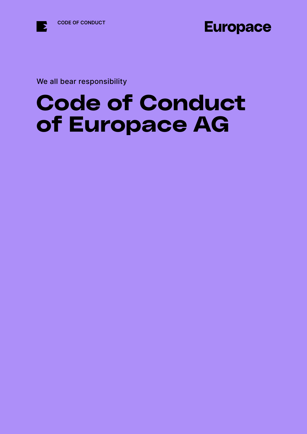

E



We all bear responsibility

# Code of Conduct of Europace AG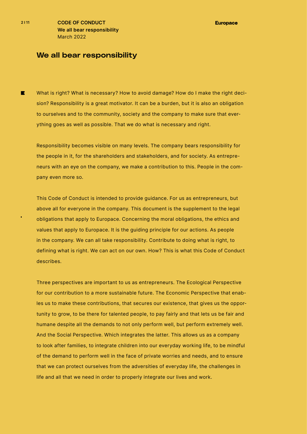### We all bear responsibility

 $\mathbf{E}$ What is right? What is necessary? How to avoid damage? How do I make the right decision? Responsibility is a great motivator. It can be a burden, but it is also an obligation to ourselves and to the community, society and the company to make sure that everything goes as well as possible. That we do what is necessary and right.

Responsibility becomes visible on many levels. The company bears responsibility for the people in it, for the shareholders and stakeholders, and for society. As entrepreneurs with an eye on the company, we make a contribution to this. People in the company even more so.

This Code of Conduct is intended to provide guidance. For us as entrepreneurs, but above all for everyone in the company. This document is the supplement to the legal obligations that apply to Europace. Concerning the moral obligations, the ethics and values that apply to Europace. It is the guiding principle for our actions. As people in the company. We can all take responsibility. Contribute to doing what is right, to defining what is right. We can act on our own. How? This is what this Code of Conduct describes.

Three perspectives are important to us as entrepreneurs. The Ecological Perspective for our contribution to a more sustainable future. The Economic Perspective that enables us to make these contributions, that secures our existence, that gives us the opportunity to grow, to be there for talented people, to pay fairly and that lets us be fair and humane despite all the demands to not only perform well, but perform extremely well. And the Social Perspective. Which integrates the latter. This allows us as a company to look after families, to integrate children into our everyday working life, to be mindful of the demand to perform well in the face of private worries and needs, and to ensure that we can protect ourselves from the adversities of everyday life, the challenges in life and all that we need in order to properly integrate our lives and work.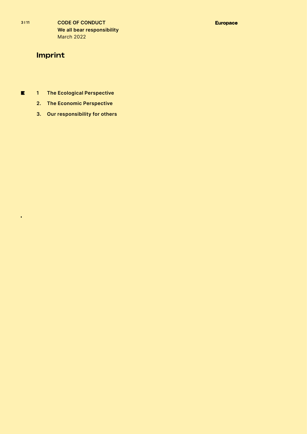## Imprint

- $\blacksquare$ **1 The Ecological Perspective**
	- **2. The Economic Perspective**
	- **3. Our responsibility for others**

 $\blacksquare$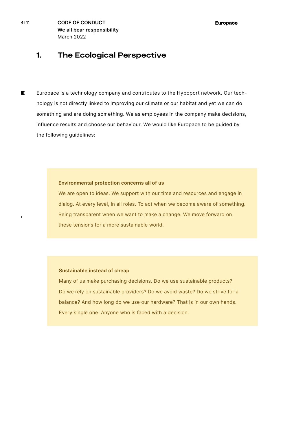**4 I 11 CODE OF CONDUCT We all bear responsibility** March 2022

## 1. The Ecological Perspective

Europace is a technology company and contributes to the Hypoport network. Our tech- $\mathbf{E}$ nology is not directly linked to improving our climate or our habitat and yet we can do something and are doing something. We as employees in the company make decisions, influence results and choose our behaviour. We would like Europace to be guided by the following guidelines:

#### **Environmental protection concerns all of us**

We are open to ideas. We support with our time and resources and engage in dialog. At every level, in all roles. To act when we become aware of something. Being transparent when we want to make a change. We move forward on these tensions for a more sustainable world.

#### **Sustainable instead of cheap**

Many of us make purchasing decisions. Do we use sustainable products? Do we rely on sustainable providers? Do we avoid waste? Do we strive for a balance? And how long do we use our hardware? That is in our own hands. Every single one. Anyone who is faced with a decision.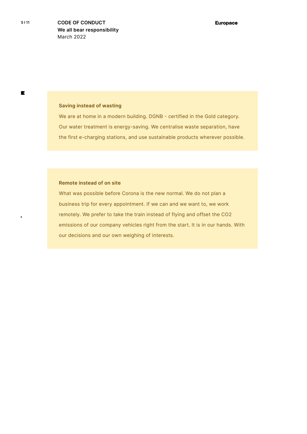$\blacksquare$ 

#### **Saving instead of wasting**

We are at home in a modern building. DGNB - certified in the Gold category. Our water treatment is energy-saving. We centralise waste separation, have the first e-charging stations, and use sustainable products wherever possible.

#### **Remote instead of on site**

What was possible before Corona is the new normal. We do not plan a business trip for every appointment. If we can and we want to, we work remotely. We prefer to take the train instead of flying and offset the CO2 emissions of our company vehicles right from the start. It is in our hands. With our decisions and our own weighing of interests.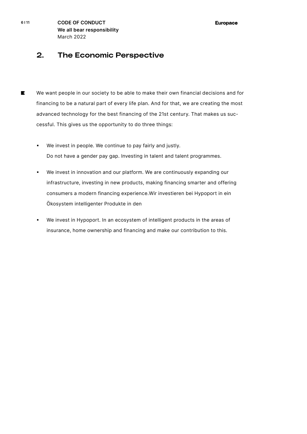## 2. The Economic Perspective

- We want people in our society to be able to make their own financial decisions and for  $\mathbf{E}$ financing to be a natural part of every life plan. And for that, we are creating the most advanced technology for the best financing of the 21st century. That makes us successful. This gives us the opportunity to do three things:
	- We invest in people. We continue to pay fairly and justly. Do not have a gender pay gap. Investing in talent and talent programmes.
	- ը We invest in innovation and our platform. We are continuously expanding our infrastructure, investing in new products, making financing smarter and offering consumers a modern financing experience.Wir investieren bei Hypoport in ein Ökosystem intelligenter Produkte in den
	- ը We invest in Hypoport. In an ecosystem of intelligent products in the areas of insurance, home ownership and financing and make our contribution to this.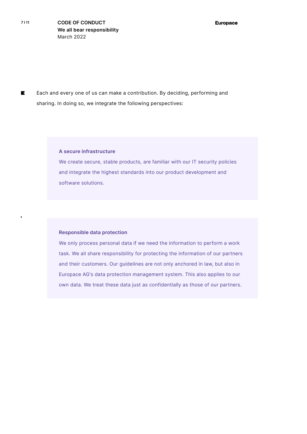Each and every one of us can make a contribution. By deciding, performing and  $\mathbf{E}$ sharing. In doing so, we integrate the following perspectives:

#### **A secure infrastructure**

We create secure, stable products, are familiar with our IT security policies and integrate the highest standards into our product development and software solutions.

#### **Responsible data protection**

We only process personal data if we need the information to perform a work task. We all share responsibility for protecting the information of our partners and their customers. Our guidelines are not only anchored in law, but also in Europace AG's data protection management system. This also applies to our own data. We treat these data just as confidentially as those of our partners.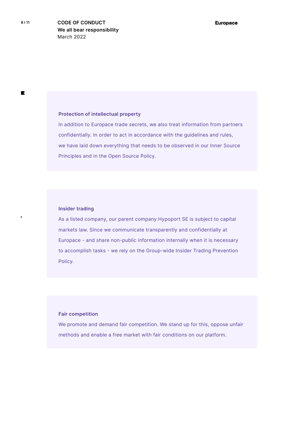#### **Protection of intellectual property**

In addition to Europace trade secrets, we also treat information from partners confidentially. In order to act in accordance with the guidelines and rules, we have laid down everything that needs to be observed in our Inner Source Principles and in the Open Source Policy.

#### **Insider trading**

As a listed company, our parent company Hypoport SE is subject to capital markets law. Since we communicate transparently and confidentially at Europace - and share non-public information internally when it is necessary to accomplish tasks - we rely on the Group-wide Insider Trading Prevention Policy.

#### **Fair competition**

We promote and demand fair competition. We stand up for this, oppose unfair methods and enable a free market with fair conditions on our platform.

 $\mathbf{E}$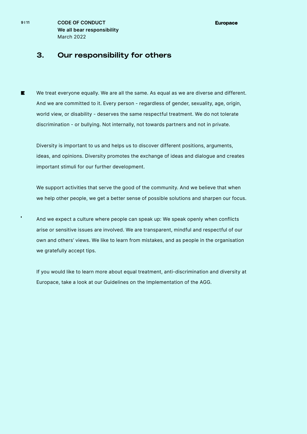## 3. Our responsibility for others

 $\blacksquare$ We treat everyone equally. We are all the same. As equal as we are diverse and different. And we are committed to it. Every person - regardless of gender, sexuality, age, origin, world view, or disability - deserves the same respectful treatment. We do not tolerate discrimination - or bullying. Not internally, not towards partners and not in private.

Diversity is important to us and helps us to discover different positions, arguments, ideas, and opinions. Diversity promotes the exchange of ideas and dialogue and creates important stimuli for our further development.

We support activities that serve the good of the community. And we believe that when we help other people, we get a better sense of possible solutions and sharpen our focus.

And we expect a culture where people can speak up: We speak openly when conflicts arise or sensitive issues are involved. We are transparent, mindful and respectful of our own and others' views. We like to learn from mistakes, and as people in the organisation we gratefully accept tips.

If you would like to learn more about equal treatment, anti-discrimination and diversity at Europace, take a look at our Guidelines on the Implementation of the AGG.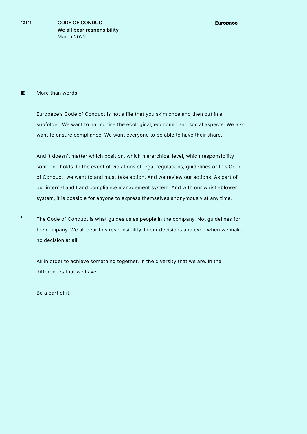More than words:  $\mathbf{E}$ 

> Europace's Code of Conduct is not a file that you skim once and then put in a subfolder. We want to harmonise the ecological, economic and social aspects. We also want to ensure compliance. We want everyone to be able to have their share.

And it doesn't matter which position, which hierarchical level, which responsibility someone holds. In the event of violations of legal regulations, guidelines or this Code of Conduct, we want to and must take action. And we review our actions. As part of our internal audit and compliance management system. And with our whistleblower system, it is possible for anyone to express themselves anonymously at any time.

The Code of Conduct is what guides us as people in the company. Not guidelines for the company. We all bear this responsibility. In our decisions and even when we make no decision at all.

All in order to achieve something together. In the diversity that we are. In the differences that we have.

Be a part of it.

j,